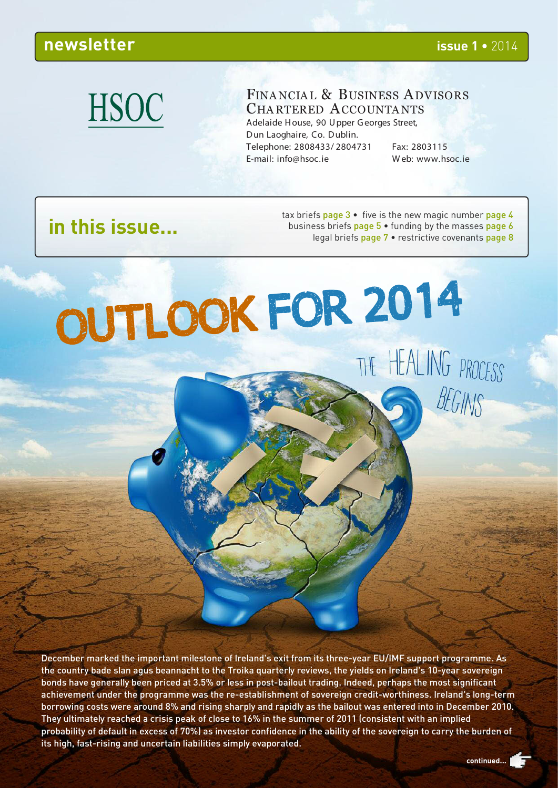# **HSOC**

#### FINANCIAL & BUSINESS ADVISORS CHA RTERED ACCOUNTA NTS Adelaide H ouse, 90 U pper G eorges Street,

D un Laoghaire, Co. D ublin. Telephone: 2808433/ 2804731 Fax: 2803115 E-mail: info@hsoc.ie W eb: www.hsoc.ie

BEGINS

# **in this issue...**

tax briefs page  $3 \cdot$  five is the new magic number page 4 business briefs page 5 • funding by the masses page 6 legal briefs page 7 • restrictive covenants page 8

OUTLOOK FOR 2014 THE HEALING PROCESS

December marked the important milestone of Ireland's exit from its three-year EU/IMF support programme. As the country bade slan agus beannacht to the Troika quarterly reviews, the yields on Ireland's 10-year sovereign bonds have generally been priced at 3.5% or less in post-bailout trading. Indeed, perhaps the most significant achievement under the programme was the re-establishment of sovereign credit-worthiness. Ireland's long-term borrowing costs were around 8% and rising sharply and rapidly as the bailout was entered into in December 2010. They ultimately reached a crisis peak of close to 16% in the summer of 2011 (consistent with an implied probability of default in excess of 70%) as investor confidence in the ability of the sovereign to carry the burden of its high, fast-rising and uncertain liabilities simply evaporated.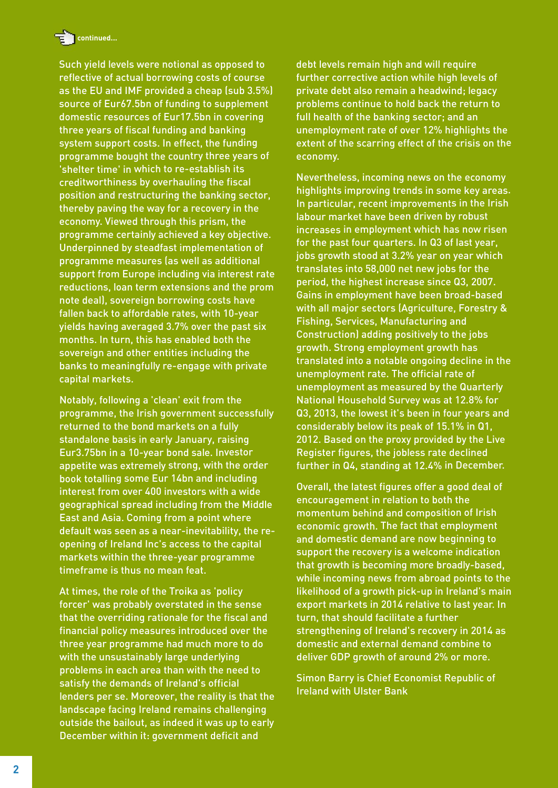

Such yield levels were notional as opposed to reflective of actual borrowing costs of course as the EU and IMF provided a cheap (sub 3.5%) source of Eur67.5bn of funding to supplement domestic resources of Eur17.5bn in covering three years of fiscal funding and banking system support costs. In effect, the funding programme bought the country three years of 'shelter time' in which to re-establish its creditworthiness by overhauling the fiscal position and restructuring the banking sector, thereby paving the way for a recovery in the economy. Viewed through this prism, the programme certainly achieved a key objective. Underpinned by steadfast implementation of programme measures (as well as additional support from Europe including via interest rate reductions, loan term extensions and the prom note deal), sovereign borrowing costs have fallen back to affordable rates, with 10-year yields having averaged 3.7% over the past six months. In turn, this has enabled both the sovereign and other entities including the banks to meaningfully re-engage with private capital markets.

Notably, following a 'clean' exit from the programme, the Irish government successfully returned to the bond markets on a fully standalone basis in early January, raising Eur3.75bn in a 10-year bond sale. Investor appetite was extremely strong, with the order book totalling some Eur 14bn and including interest from over 400 investors with a wide geographical spread including from the Middle East and Asia. Coming from a point where default was seen as a near-inevitability, the reopening of Ireland Inc's access to the capital markets within the three-year programme timeframe is thus no mean feat.

At times, the role of the Troika as 'policy forcer' was probably overstated in the sense that the overriding rationale for the fiscal and financial policy measures introduced over the three year programme had much more to do with the unsustainably large underlying problems in each area than with the need to satisfy the demands of Ireland's official lenders per se. Moreover, the reality is that the landscape facing Ireland remains challenging outside the bailout, as indeed it was up to early December within it: government deficit and

debt levels remain high and will require further corrective action while high levels of private debt also remain a headwind; legacy problems continue to hold back the return to full health of the banking sector; and an unemployment rate of over 12% highlights the extent of the scarring effect of the crisis on the economy.

Nevertheless, incoming news on the economy highlights improving trends in some key areas. In particular, recent improvements in the Irish labour market have been driven by robust increases in employment which has now risen for the past four quarters. In Q3 of last year, jobs growth stood at 3.2% year on year which translates into 58,000 net new jobs for the period, the highest increase since Q3, 2007. Gains in employment have been broad-based with all major sectors (Agriculture, Forestry & Fishing, Services, Manufacturing and Construction) adding positively to the jobs growth. Strong employment growth has translated into a notable ongoing decline in the unemployment rate. The official rate of unemployment as measured by the Quarterly National Household Survey was at 12.8% for Q3, 2013, the lowest it's been in four years and considerably below its peak of 15.1% in Q1, 2012. Based on the proxy provided by the Live Register figures, the jobless rate declined further in Q4, standing at 12.4% in December.

Overall, the latest figures offer a good deal of encouragement in relation to both the momentum behind and composition of Irish economic growth. The fact that employment and domestic demand are now beginning to support the recovery is a welcome indication that growth is becoming more broadly-based, while incoming news from abroad points to the likelihood of a growth pick-up in Ireland's main export markets in 2014 relative to last year. In turn, that should facilitate a further strengthening of Ireland's recovery in 2014 as domestic and external demand combine to deliver GDP growth of around 2% or more.

Simon Barry is Chief Economist Republic of Ireland with Ulster Bank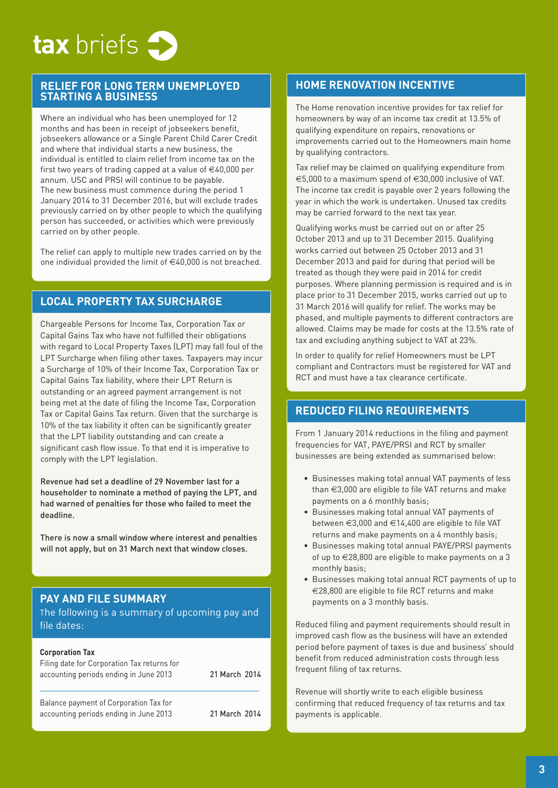

#### **RELIEF FOR LONG TERM UNEMPLOYED STARTING A BUSINESS**

Where an individual who has been unemployed for 12 months and has been in receipt of jobseekers benefit, jobseekers allowance or a Single Parent Child Carer Credit and where that individual starts a new business, the individual is entitled to claim relief from income tax on the first two years of trading capped at a value of  $\in$ 40,000 per annum. USC and PRSI will continue to be payable. The new business must commence during the period 1 January 2014 to 31 December 2016, but will exclude trades previously carried on by other people to which the qualifying person has succeeded, or activities which were previously carried on by other people.

The relief can apply to multiple new trades carried on by the one individual provided the limit of  $\in$ 40,000 is not breached.

#### **LOCAL PROPERTY TAX SURCHARGE**

Chargeable Persons for Income Tax, Corporation Tax or Capital Gains Tax who have not fulfilled their obligations with regard to Local Property Taxes (LPT) may fall foul of the LPT Surcharge when filing other taxes. Taxpayers may incur a Surcharge of 10% of their Income Tax, Corporation Tax or Capital Gains Tax liability, where their LPT Return is outstanding or an agreed payment arrangement is not being met at the date of filing the Income Tax, Corporation Tax or Capital Gains Tax return. Given that the surcharge is 10% of the tax liability it often can be significantly greater that the LPT liability outstanding and can create a significant cash flow issue. To that end it is imperative to comply with the LPT legislation.

Revenue had set a deadline of 29 November last for a householder to nominate a method of paying the LPT, and had warned of penalties for those who failed to meet the deadline.

There is now a small window where interest and penalties will not apply, but on 31 March next that window closes.

#### **PAY AND FILE SUMMARY**

The following is a summary of upcoming pay and file dates:

#### **Corporation Tax**

| Filing date for Corporation Tax returns for<br>accounting periods ending in June 2013 | 21 March 2014 |
|---------------------------------------------------------------------------------------|---------------|
| Balance payment of Corporation Tax for<br>accounting periods ending in June 2013      | 21 March 2014 |

#### **HOME RENOVATION INCENTIVE**

The Home renovation incentive provides for tax relief for homeowners by way of an income tax credit at 13.5% of qualifying expenditure on repairs, renovations or improvements carried out to the Homeowners main home by qualifying contractors.

Tax relief may be claimed on qualifying expenditure from €5,000 to a maximum spend of €30,000 inclusive of VAT. The income tax credit is payable over 2 years following the year in which the work is undertaken. Unused tax credits may be carried forward to the next tax year.

Qualifying works must be carried out on or after 25 October 2013 and up to 31 December 2015. Qualifying works carried out between 25 October 2013 and 31 December 2013 and paid for during that period will be treated as though they were paid in 2014 for credit purposes. Where planning permission is required and is in place prior to 31 December 2015, works carried out up to 31 March 2016 will qualify for relief. The works may be phased, and multiple payments to different contractors are allowed. Claims may be made for costs at the 13.5% rate of tax and excluding anything subject to VAT at 23%.

In order to qualify for relief Homeowners must be LPT compliant and Contractors must be registered for VAT and RCT and must have a tax clearance certificate.

#### **REDUCED FILING REQUIREMENTS**

From 1 January 2014 reductions in the filing and payment frequencies for VAT, PAYE/PRSI and RCT by smaller businesses are being extended as summarised below:

- Businesses making total annual VAT payments of less than €3,000 are eligible to file VAT returns and make payments on a 6 monthly basis;
- Businesses making total annual VAT payments of between €3,000 and €14,400 are eligible to file VAT returns and make payments on a 4 monthly basis;
- Businesses making total annual PAYE/PRSI payments of up to €28,800 are eligible to make payments on a 3 monthly basis;
- Businesses making total annual RCT payments of up to €28,800 are eligible to file RCT returns and make payments on a 3 monthly basis.

Reduced filing and payment requirements should result in improved cash flow as the business will have an extended period before payment of taxes is due and business' should benefit from reduced administration costs through less frequent filing of tax returns.

Revenue will shortly write to each eligible business confirming that reduced frequency of tax returns and tax payments is applicable.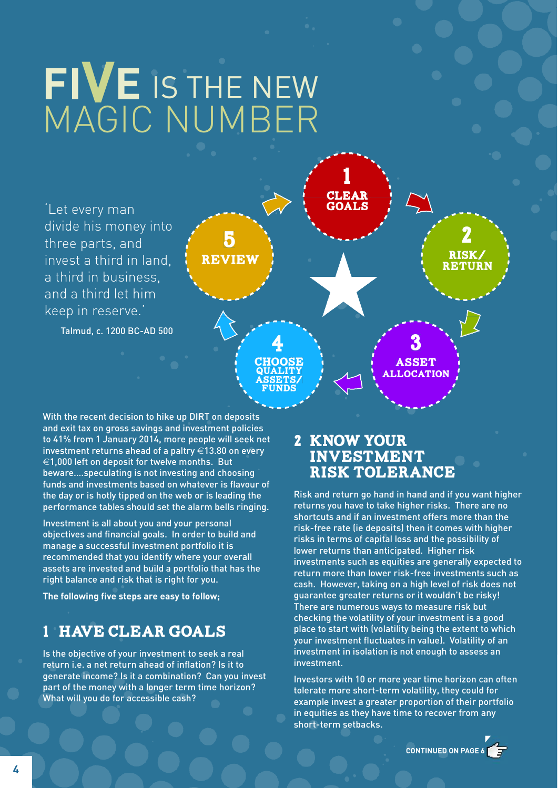# **FIVE** IS THE NEW MAGIC NUMBER



With the recent decision to hike up DIRT on deposits and exit tax on gross savings and investment policies to 41% from 1 January 2014, more people will seek net investment returns ahead of a paltry €13.80 on every  $\epsilon$ 1,000 left on deposit for twelve months. But beware….speculating is not investing and choosing funds and investments based on whatever is flavour of the day or is hotly tipped on the web or is leading the performance tables should set the alarm bells ringing.

Investment is all about you and your personal objectives and financial goals. In order to build and manage a successful investment portfolio it is recommended that you identify where your overall assets are invested and build a portfolio that has the right balance and risk that is right for you.

**The following five steps are easy to follow;**

# **1 HAVE CLEAR GOALS**

Is the objective of your investment to seek a real return i.e. a net return ahead of inflation? Is it to generate income? Is it a combination? Can you invest part of the money with a longer term time horizon? What will you do for accessible cash?

## **2 KNOW YOUR INVESTMENT RISK TOLERANCE**

Risk and return go hand in hand and if you want higher returns you have to take higher risks. There are no shortcuts and if an investment offers more than the risk-free rate (ie deposits) then it comes with higher risks in terms of capital loss and the possibility of lower returns than anticipated. Higher risk investments such as equities are generally expected to return more than lower risk-free investments such as cash. However, taking on a high level of risk does not guarantee greater returns or it wouldn't be risky! There are numerous ways to measure risk but checking the volatility of your investment is a good place to start with (volatility being the extent to which your investment fluctuates in value). Volatility of an investment in isolation is not enough to assess an investment.

Investors with 10 or more year time horizon can often tolerate more short-term volatility, they could for example invest a greater proportion of their portfolio in equities as they have time to recover from any short-term setbacks.

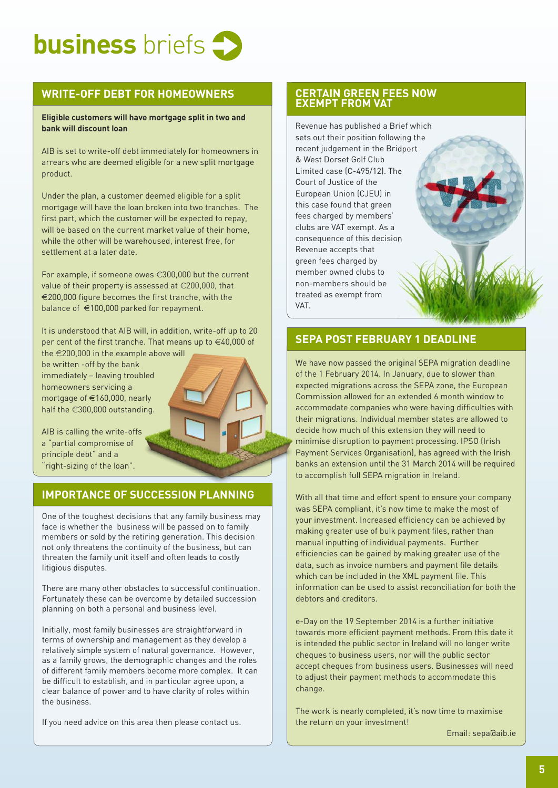

#### **WRITE-OFF DEBT FOR HOMEOWNERS**

#### **Eligible customers will have mortgage split in two and bank will discount loan**

AIB is set to write-off debt immediately for homeowners in arrears who are deemed eligible for a new split mortgage product.

Under the plan, a customer deemed eligible for a split mortgage will have the loan broken into two tranches. The first part, which the customer will be expected to repay, will be based on the current market value of their home, while the other will be warehoused, interest free, for settlement at a later date.

For example, if someone owes €300,000 but the current value of their property is assessed at €200,000, that €200,000 figure becomes the first tranche, with the balance of €100,000 parked for repayment.

It is understood that AIB will, in addition, write-off up to 20 per cent of the first tranche. That means up to €40,000 of the €200,000 in the example above will

be written -off by the bank immediately – leaving troubled homeowners servicing a mortgage of €160,000, nearly half the €300,000 outstanding.

AIB is calling the write-offs a "partial compromise of principle debt" and a 'right-sizing of the loan".

#### **IMPORTANCE OF SUCCESSION PLANNING**

One of the toughest decisions that any family business may face is whether the business will be passed on to family members or sold by the retiring generation. This decision not only threatens the continuity of the business, but can threaten the family unit itself and often leads to costly litigious disputes.

There are many other obstacles to successful continuation. Fortunately these can be overcome by detailed succession planning on both a personal and business level.

Initially, most family businesses are straightforward in terms of ownership and management as they develop a relatively simple system of natural governance. However, as a family grows, the demographic changes and the roles of different family members become more complex. It can be difficult to establish, and in particular agree upon, a clear balance of power and to have clarity of roles within the business.

If you need advice on this area then please contact us.

#### **CERTAIN GREEN FEES NOW EXEMPT FROM VAT**

Revenue has published a Brief which sets out their position following the recent judgement in the Bridport & West Dorset Golf Club Limited case (C-495/12). The Court of Justice of the European Union (CJEU) in this case found that green fees charged by members' clubs are VAT exempt. As a consequence of this decision Revenue accepts that green fees charged by member owned clubs to non-members should be treated as exempt from VAT.

#### **SEPA POST FEBRUARY 1 DEADLINE**

We have now passed the original SEPA migration deadline of the 1 February 2014. In January, due to slower than expected migrations across the SEPA zone, the European Commission allowed for an extended 6 month window to accommodate companies who were having difficulties with their migrations. Individual member states are allowed to decide how much of this extension they will need to minimise disruption to payment processing. IPSO (Irish Payment Services Organisation), has agreed with the Irish banks an extension until the 31 March 2014 will be required to accomplish full SEPA migration in Ireland.

With all that time and effort spent to ensure your company was SEPA compliant, it's now time to make the most of your investment. Increased efficiency can be achieved by making greater use of bulk payment files, rather than manual inputting of individual payments. Further efficiencies can be gained by making greater use of the data, such as invoice numbers and payment file details which can be included in the XML payment file. This information can be used to assist reconciliation for both the debtors and creditors.

e-Day on the 19 September 2014 is a further initiative towards more efficient payment methods. From this date it is intended the public sector in Ireland will no longer write cheques to business users, nor will the public sector accept cheques from business users. Businesses will need to adjust their payment methods to accommodate this change.

The work is nearly completed, it's now time to maximise the return on your investment!

Email: sepa@aib.ie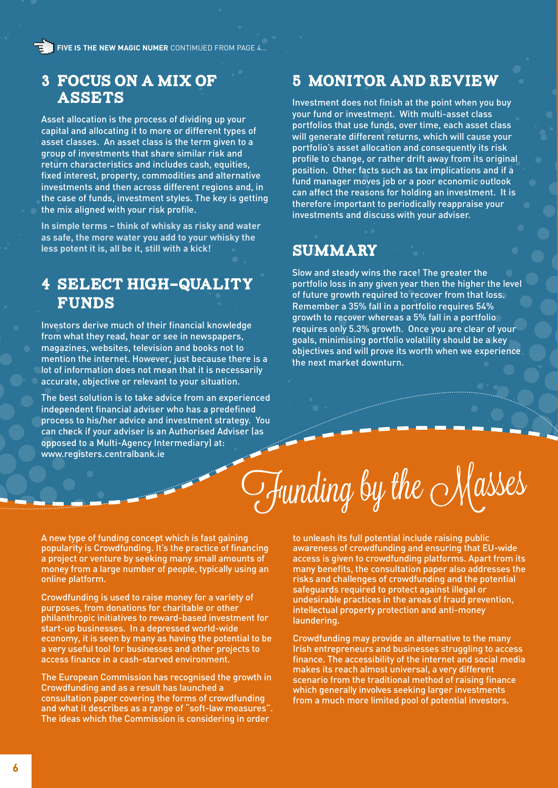**FIVE IS THE NEW MAGIC NUMER** CONTIMUED FROM PAGE 4...

## **3 FOCUS ON A MIX OF ASSETS**

Asset allocation is the process of dividing up your capital and allocating it to more or different types of asset classes. An asset class is the term given to a group of investments that share similar risk and return characteristics and includes cash, equities, fixed interest, property, commodities and alternative investments and then across different regions and, in the case of funds, investment styles. The key is getting the mix aligned with your risk profile.

**In simple terms – think of whisky as risky and water as safe, the more water you add to your whisky the less potent it is, all be it, still with a kick!**

# **4 SELECT HIGH-QUALITY FUNDS**

Investors derive much of their financial knowledge from what they read, hear or see in newspapers, magazines, websites, television and books not to mention the internet. However, just because there is a lot of information does not mean that it is necessarily accurate, objective or relevant to your situation.

The best solution is to take advice from an experienced independent financial adviser who has a predefined process to his/her advice and investment strategy. You can check if your adviser is an Authorised Adviser (as opposed to a Multi-Agency Intermediary) at: www.registers.centralbank.ie

## **5 MONITOR AND REVIEW**

Investment does not finish at the point when you buy your fund or investment. With multi-asset class portfolios that use funds, over time, each asset class will generate different returns, which will cause your portfolio's asset allocation and consequently its risk profile to change, or rather drift away from its original position. Other facts such as tax implications and if a fund manager moves job or a poor economic outlook can affect the reasons for holding an investment. It is therefore important to periodically reappraise your investments and discuss with your adviser.

# **Summary**

Slow and steady wins the race! The greater the portfolio loss in any given year then the higher the level of future growth required to recover from that loss. Remember a 35% fall in a portfolio requires 54% growth to recover whereas a 5% fall in a portfolio requires only 5.3% growth. Once you are clear of your goals, minimising portfolio volatility should be a key objectives and will prove its worth when we experience the next market downturn.

 $\mathcal{T}$ funding by the Masses

A new type of funding concept which is fast gaining popularity is Crowdfunding. It's the practice of financing a project or venture by seeking many small amounts of money from a large number of people, typically using an online platform.

Crowdfunding is used to raise money for a variety of purposes, from donations for charitable or other philanthropic initiatives to reward-based investment for start-up businesses. In a depressed world-wide economy, it is seen by many as having the potential to be a very useful tool for businesses and other projects to access finance in a cash-starved environment.

The European Commission has recognised the growth in Crowdfunding and as a result has launched a consultation paper covering the forms of crowdfunding and what it describes as a range of "soft-law measures". The ideas which the Commission is considering in order

to unleash its full potential include raising public awareness of crowdfunding and ensuring that EU-wide access is given to crowdfunding platforms. Apart from its many benefits, the consultation paper also addresses the risks and challenges of crowdfunding and the potential safeguards required to protect against illegal or undesirable practices in the areas of fraud prevention, intellectual property protection and anti-money laundering.

Crowdfunding may provide an alternative to the many Irish entrepreneurs and businesses struggling to access finance. The accessibility of the internet and social media makes its reach almost universal, a very different scenario from the traditional method of raising finance which generally involves seeking larger investments from a much more limited pool of potential investors.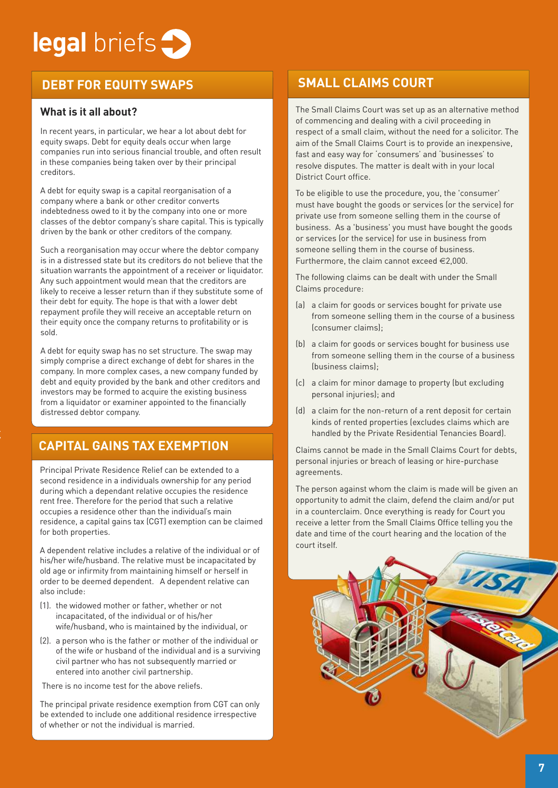# **legal** briefs

# **DEBT FOR EQUITY SWAPS**

#### **What is it all about?**

In recent years, in particular, we hear a lot about debt for equity swaps. Debt for equity deals occur when large companies run into serious financial trouble, and often result in these companies being taken over by their principal creditors.

A debt for equity swap is a capital reorganisation of a company where a bank or other creditor converts indebtedness owed to it by the company into one or more classes of the debtor company's share capital. This is typically driven by the bank or other creditors of the company.

Such a reorganisation may occur where the debtor company is in a distressed state but its creditors do not believe that the situation warrants the appointment of a receiver or liquidator. Any such appointment would mean that the creditors are likely to receive a lesser return than if they substitute some of their debt for equity. The hope is that with a lower debt repayment profile they will receive an acceptable return on their equity once the company returns to profitability or is sold.

A debt for equity swap has no set structure. The swap may simply comprise a direct exchange of debt for shares in the company. In more complex cases, a new company funded by debt and equity provided by the bank and other creditors and investors may be formed to acquire the existing business from a liquidator or examiner appointed to the financially distressed debtor company.

# **CAPITAL GAINS TAX EXEMPTION**

Principal Private Residence Relief can be extended to a second residence in a individuals ownership for any period during which a dependant relative occupies the residence rent free. Therefore for the period that such a relative occupies a residence other than the individual's main residence, a capital gains tax (CGT) exemption can be claimed for both properties.

A dependent relative includes a relative of the individual or of his/her wife/husband. The relative must be incapacitated by old age or infirmity from maintaining himself or herself in order to be deemed dependent. A dependent relative can also include:

- (1). the widowed mother or father, whether or not incapacitated, of the individual or of his/her wife/husband, who is maintained by the individual, or
- (2). a person who is the father or mother of the individual or of the wife or husband of the individual and is a surviving civil partner who has not subsequently married or entered into another civil partnership.

There is no income test for the above reliefs.

The principal private residence exemption from CGT can only be extended to include one additional residence irrespective of whether or not the individual is married.

## **SMALL CLAIMS COURT**

The Small Claims Court was set up as an alternative method of commencing and dealing with a civil proceeding in respect of a small claim, without the need for a solicitor. The aim of the Small Claims Court is to provide an inexpensive, fast and easy way for 'consumers' and 'businesses' to resolve disputes. The matter is dealt with in your local District Court office.

To be eligible to use the procedure, you, the 'consumer' must have bought the goods or services (or the service) for private use from someone selling them in the course of business. As a 'business' you must have bought the goods or services (or the service) for use in business from someone selling them in the course of business. Furthermore, the claim cannot exceed €2,000.

The following claims can be dealt with under the Small Claims procedure:

- (a) a claim for goods or services bought for private use from someone selling them in the course of a business (consumer claims);
- (b) a claim for goods or services bought for business use from someone selling them in the course of a business (business claims);
- (c) a claim for minor damage to property (but excluding personal injuries); and
- (d) a claim for the non-return of a rent deposit for certain kinds of rented properties (excludes claims which are handled by the Private Residential Tenancies Board).

Claims cannot be made in the Small Claims Court for debts, personal injuries or breach of leasing or hire-purchase agreements.

The person against whom the claim is made will be given an opportunity to admit the claim, defend the claim and/or put in a counterclaim. Once everything is ready for Court you receive a letter from the Small Claims Office telling you the date and time of the court hearing and the location of the court itself.